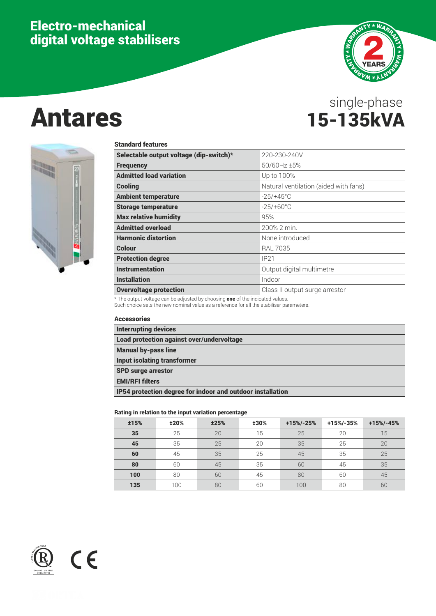# Electro-mechanical digital voltage stabilisers



# Antares 15-135kVA single-phase



#### Standard features

| Selectable output voltage (dip-switch)*<br>220-230-240V<br>50/60Hz ±5%<br><b>Frequency</b><br><b>Admitted load variation</b><br>Up to 100%<br>Natural ventilation (aided with fans)<br><b>Cooling</b><br><b>Ambient temperature</b><br>$-25/+45^{\circ}$ C<br>$-25/+60^{\circ}$ C<br><b>Storage temperature</b><br><b>Max relative humidity</b><br>95%<br><b>Admitted overload</b><br>200% 2 min.<br><b>Harmonic distortion</b><br>None introduced<br>Colour<br><b>RAL 7035</b><br><b>Protection degree</b><br>IP21<br><b>Instrumentation</b><br>Output digital multimetre<br><b>Installation</b><br>Indoor<br><b>Overvoltage protection</b><br>Class II output surge arrestor | Standard Teatures |  |
|--------------------------------------------------------------------------------------------------------------------------------------------------------------------------------------------------------------------------------------------------------------------------------------------------------------------------------------------------------------------------------------------------------------------------------------------------------------------------------------------------------------------------------------------------------------------------------------------------------------------------------------------------------------------------------|-------------------|--|
|                                                                                                                                                                                                                                                                                                                                                                                                                                                                                                                                                                                                                                                                                |                   |  |
|                                                                                                                                                                                                                                                                                                                                                                                                                                                                                                                                                                                                                                                                                |                   |  |
|                                                                                                                                                                                                                                                                                                                                                                                                                                                                                                                                                                                                                                                                                |                   |  |
|                                                                                                                                                                                                                                                                                                                                                                                                                                                                                                                                                                                                                                                                                |                   |  |
|                                                                                                                                                                                                                                                                                                                                                                                                                                                                                                                                                                                                                                                                                |                   |  |
|                                                                                                                                                                                                                                                                                                                                                                                                                                                                                                                                                                                                                                                                                |                   |  |
|                                                                                                                                                                                                                                                                                                                                                                                                                                                                                                                                                                                                                                                                                |                   |  |
|                                                                                                                                                                                                                                                                                                                                                                                                                                                                                                                                                                                                                                                                                |                   |  |
|                                                                                                                                                                                                                                                                                                                                                                                                                                                                                                                                                                                                                                                                                |                   |  |
|                                                                                                                                                                                                                                                                                                                                                                                                                                                                                                                                                                                                                                                                                |                   |  |
|                                                                                                                                                                                                                                                                                                                                                                                                                                                                                                                                                                                                                                                                                |                   |  |
|                                                                                                                                                                                                                                                                                                                                                                                                                                                                                                                                                                                                                                                                                |                   |  |
|                                                                                                                                                                                                                                                                                                                                                                                                                                                                                                                                                                                                                                                                                |                   |  |
|                                                                                                                                                                                                                                                                                                                                                                                                                                                                                                                                                                                                                                                                                |                   |  |

\* The output voltage can be adjusted by choosing one of the indicated values.

Such choice sets the new nominal value as a reference for all the stabiliser parameters.

| <b>Accessories</b>                                         |
|------------------------------------------------------------|
| <b>Interrupting devices</b>                                |
| <b>Load protection against over/undervoltage</b>           |
| <b>Manual by-pass line</b>                                 |
| <b>Input isolating transformer</b>                         |
| <b>SPD surge arrestor</b>                                  |
| <b>EMI/RFI filters</b>                                     |
| IP54 protection degree for indoor and outdoor installation |

#### Rating in relation to the input variation percentage

| <b>±15%</b> | ±20% | ±25% | ±30% | $+15% - 25%$ | +15%/-35% | $+15% - 45%$ |
|-------------|------|------|------|--------------|-----------|--------------|
| 35          | 25   | 20   | 15   | 25           | 20        | 15           |
| 45          | 35   | 25   | 20   | 35<br>25     |           | 20           |
| 60          | 45   | 35   | 25   | 45           | 35        | 25           |
| 80          | 60   | 45   | 35   | 60           | 45        | 35           |
| 100         | 80   | 60   | 45   | 80           | 60        | 45           |
| 135         | 100  | 80   | 60   | 100          | 80        | 60           |

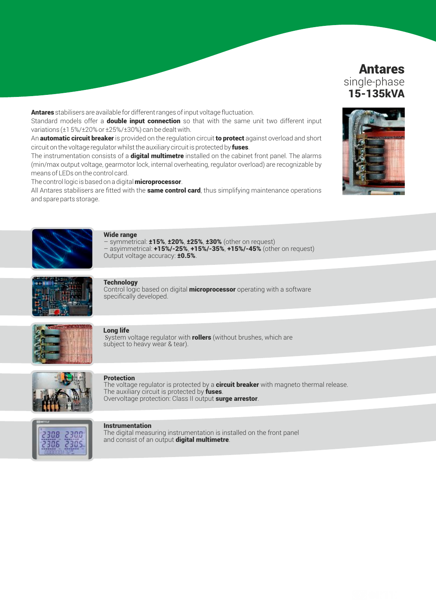# Antares single-phase 15-135kVA

Antares stabilisers are available for different ranges of input voltage fluctuation.

Standard models offer a **double input connection** so that with the same unit two different input variations (±1 5%/±20% or ±25%/±30%) can be dealt with.

An **automatic circuit breaker** is provided on the regulation circuit to protect against overload and short circuit on the voltage regulator whilst the auxiliary circuit is protected by fuses.

The instrumentation consists of a **digital multimetre** installed on the cabinet front panel. The alarms (min/max output voltage, gearmotor lock, internal overheating, regulator overload) are recognizable by means of LEDs on the control card.

The control logic is based on a digital **microprocessor**.

All Antares stabilisers are fitted with the **same control card**, thus simplifying maintenance operations and spare parts storage.



#### Wide range

symmetrical: ±15%, ±20%, ±25%, ±30% (other on request)  $-$  asyimmetrical:  $+15\%$ /-25%,  $+15\%$ /-35%,  $+15\%$ /-45% (other on request) Output voltage accuracy: **±0.5%**.



### **Technology**

Control logic based on digital **microprocessor** operating with a software specifically developed.



#### Long life

System voltage regulator with **rollers** (without brushes, which are subject to heavy wear & tear).



#### Protection

The voltage regulator is protected by a **circuit breaker** with magneto thermal release. The auxiliary circuit is protected by fuses. Overvoltage protection: Class II output surge arrestor.



#### **Instrumentation**

The digital measuring instrumentation is installed on the front panel and consist of an output digital multimetre.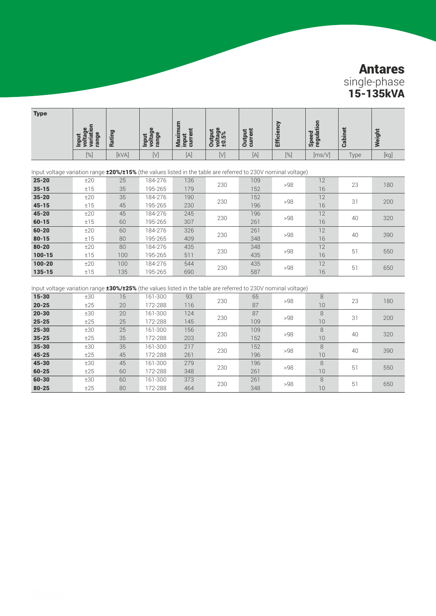# Antares single-phase 15-135kVA

| <b>Type</b> | $\mathbf{a}$<br>$\mathbf{C}$<br>Ξ<br>æ<br>œ | o<br>泥<br>Τõ<br>Œ | $\mathbf{a}$<br>Е<br>ы<br>о<br>등<br>Ξ<br>- | ٠.<br>൹<br>o.<br>$=$ $=$ $\circ$ | తాన<br>$\mathbb{R}$ In<br>익성의 | 콩<br>āä | Φ<br>5<br>뙨 | 12.<br>$\overline{\phantom{a}}$<br>তে<br>Speer<br>requis<br>$\overline{a}$ | る<br>أمأت<br>ී | eigh                                                                                                                                                                                                                                                                                                                                                                                                                                                                                                                                                         |
|-------------|---------------------------------------------|-------------------|--------------------------------------------|----------------------------------|-------------------------------|---------|-------------|----------------------------------------------------------------------------|----------------|--------------------------------------------------------------------------------------------------------------------------------------------------------------------------------------------------------------------------------------------------------------------------------------------------------------------------------------------------------------------------------------------------------------------------------------------------------------------------------------------------------------------------------------------------------------|
|             | [%]                                         | [kVA]             | [V                                         | [A]                              | [V]                           | [A]     | $[\%]$      | [ms/V]                                                                     | Type           | $[kg] % \begin{center} % \includegraphics[width=\linewidth]{imagesSupplemental/Imetad-Architecture.png} % \end{center} % \caption { % \begin{subfigure}[M=100$]{images}\label{fig:2} % } % \end{subfigure} % \begin{subfigure}[M=100$]{images}\label{fig:2} % } % \end{subfigure} % \begin{subfigure}[M=100$]{images}\label{fig:2} % } % \end{subfigure} % \begin{subfigure}[M=100$]{images}\label{fig:2} % } % \end{subfigure} % \begin{subfigure}[M=100$]{images}\label{fig:2} % } % \end{subfigure} % \begin{subfigure}[M=100$]{images}\label{fig:2} % }$ |

| Input voltage variation range <b>±20%/±15%</b> (the values listed in the table are referred to 230V nominal voltage) |     |     |         |     |     |     |     |    |    |     |
|----------------------------------------------------------------------------------------------------------------------|-----|-----|---------|-----|-----|-----|-----|----|----|-----|
| $25 - 20$                                                                                                            | ±20 | 25  | 184-276 | 136 |     | 109 | >98 | 12 | 23 | 180 |
| $35 - 15$                                                                                                            | ±15 | 35  | 195-265 | 179 | 230 | 152 |     | 16 |    |     |
| $35 - 20$                                                                                                            | ±20 | 35  | 184-276 | 190 | 230 | 152 | >98 | 12 | 31 | 200 |
| $45 - 15$                                                                                                            | ±15 | 45  | 195-265 | 230 |     | 196 |     | 16 |    |     |
| $45 - 20$                                                                                                            | ±20 | 45  | 184-276 | 245 | 230 | 196 | >98 | 12 | 40 | 320 |
| $60 - 15$                                                                                                            | ±15 | 60  | 195-265 | 307 |     | 261 |     | 16 |    |     |
| $60 - 20$                                                                                                            | ±20 | 60  | 184-276 | 326 | 230 | 261 | >98 | 12 | 40 |     |
| $80 - 15$                                                                                                            | ±15 | 80  | 195-265 | 409 |     | 348 |     | 16 |    | 390 |
| $80 - 20$                                                                                                            | ±20 | 80  | 184-276 | 435 | 230 | 348 | >98 | 12 | 51 | 550 |
| $100 - 15$                                                                                                           | ±15 | 100 | 195-265 | 511 |     | 435 |     | 16 |    |     |
| $100 - 20$                                                                                                           | ±20 | 100 | 184-276 | 544 |     | 435 | >98 | 12 |    |     |
| $135 - 15$                                                                                                           | ±15 | 135 | 195-265 | 690 | 230 | 587 |     | 16 | 51 | 650 |

Input voltage variation range **±30%/±25%** (the values listed in the table are referred to 230V nominal voltage)

| $15 - 30$ | ±30 | 15 | 161-300 | 93  |     | 65  |     | 8  |    |     |
|-----------|-----|----|---------|-----|-----|-----|-----|----|----|-----|
|           |     |    |         |     | 230 |     | >98 |    | 23 | 180 |
| $20 - 25$ | ±25 | 20 | 172-288 | 116 |     | 87  |     | 10 |    |     |
| $20 - 30$ | ±30 | 20 | 161-300 | 124 | 230 | 87  | >98 | 8  | 31 | 200 |
| $25 - 25$ | ±25 | 25 | 172-288 | 145 |     | 109 |     | 10 |    |     |
| $25 - 30$ | ±30 | 25 | 161-300 | 156 | 230 | 109 | >98 | 8  | 40 | 320 |
| $35 - 25$ | ±25 | 35 | 172-288 | 203 |     | 152 |     | 10 |    |     |
| $35 - 30$ | ±30 | 35 | 161-300 | 217 | 230 | 152 | >98 | 8  | 40 | 390 |
| $45 - 25$ | ±25 | 45 | 172-288 | 261 |     | 196 |     | 10 |    |     |
| $45 - 30$ | ±30 | 45 | 161-300 | 279 | 230 | 196 | >98 | 8  | 51 | 550 |
| $60 - 25$ | ±25 | 60 | 172-288 | 348 |     | 261 |     | 10 |    |     |
| $60 - 30$ | ±30 | 60 | 161-300 | 373 | 230 | 261 | >98 | 8  | 51 | 650 |
| $80 - 25$ | ±25 | 80 | 172-288 | 464 |     | 348 |     | 10 |    |     |